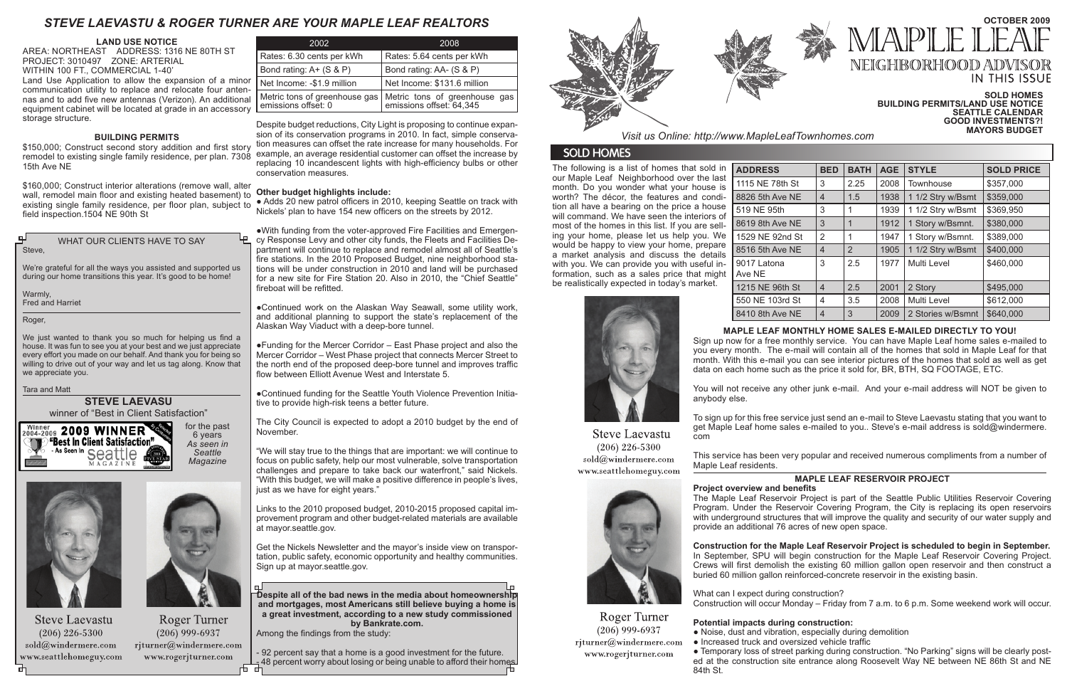| 2002                                                 | 2008                                                        |
|------------------------------------------------------|-------------------------------------------------------------|
| Rates: 6.30 cents per kWh                            | Rates: 5.64 cents per kWh                                   |
| Bond rating: $A+$ (S & P)                            | Bond rating: AA- (S & P)                                    |
| Net Income: -\$1.9 million                           | Net Income: \$131.6 million                                 |
| Metric tons of greenhouse gas<br>emissions offset: 0 | Metric tons of greenhouse gas<br>  emissions offset: 64,345 |

• Adds 20 new patrol officers in 2010, keeping Seattle on track with Nickels' plan to have 154 new officers on the streets by 2012.

Despite budget reductions, City Light is proposing to continue expansion of its conservation programs in 2010. In fact, simple conservation measures can offset the rate increase for many households. For example, an average residential customer can offset the increase by replacing 10 incandescent lights with high-efficiency bulbs or other conservation measures.

# **Other budget highlights include:**

●With funding from the voter-approved Fire Facilities and Emergency Response Levy and other city funds, the Fleets and Facilities Department will continue to replace and remodel almost all of Seattle's fire stations. In the 2010 Proposed Budget, nine neighborhood stations will be under construction in 2010 and land will be purchased for a new site for Fire Station 20. Also in 2010, the "Chief Seattle" fireboat will be refitted.

●Continued work on the Alaskan Way Seawall, some utility work, and additional planning to support the state's replacement of the Alaskan Way Viaduct with a deep-bore tunnel.

- 92 percent say that a home is a good investment for the future. - 48 percent worry about losing or being unable to afford their homes.



# **OCTOBER 2009**  $\mathbb{A} \mathbb{P} \mathbb{L} \mathbb{F}$ NEIGHBORHOOD ADV IN THIS ISSUE

●Funding for the Mercer Corridor – East Phase project and also the Mercer Corridor – West Phase project that connects Mercer Street to the north end of the proposed deep-bore tunnel and improves traffic flow between Elliott Avenue West and Interstate 5.

●Continued funding for the Seattle Youth Violence Prevention Initiative to provide high-risk teens a better future.

The City Council is expected to adopt a 2010 budget by the end of November.

"We will stay true to the things that are important: we will continue to focus on public safety, help our most vulnerable, solve transportation challenges and prepare to take back our waterfront," said Nickels. "With this budget, we will make a positive difference in people's lives, just as we have for eight years."

We just wanted to thank you so much for helping us find a house. It was fun to see you at your best and we just appreciate every effort you made on our behalf. And thank you for being so willing to drive out of your way and let us tag along. Know that we appreciate you.

> Links to the 2010 proposed budget, 2010-2015 proposed capital improvement program and other budget-related materials are available at mayor.seattle.gov.

> Get the Nickels Newsletter and the mayor's inside view on transportation, public safety, economic opportunity and healthy communities. Sign up at mayor.seattle.gov.

> **Despite all of the bad news in the media about homeownership and mortgages, most Americans still believe buying a home is a great investment, according to a new study commissioned by Bankrate.com.**

Among the findings from the study:

The following is a list of homes that sold in our Maple Leaf Neighborhood over the last month. Do you wonder what your house is worth? The décor, the features and condition all have a bearing on the price a house will command. We have seen the interiors of most of the homes in this list. If you are selling your home, please let us help you. We would be happy to view your home, prepare a market analysis and discuss the details with you. We can provide you with useful information, such as a sales price that might be realistically expected in today's market.

> **Potential impacts during construction:**  • Noise, dust and vibration, especially during demolition

- 
- www.rogerjturner.com



550 NE 103r 8410 8th Ave



|                             | <b>BED</b>               | <b>BATH</b>    | <b>AGE</b> | <b>STYLE</b>      | <b>SOLD PRICE</b> |
|-----------------------------|--------------------------|----------------|------------|-------------------|-------------------|
| า St                        | 3                        | 2.25           | 2008       | Townhouse         | \$357,000         |
| NE !                        | $\overline{\mathcal{A}}$ | 1.5            | 1938       | 1 1/2 Stry w/Bsmt | \$359,000         |
|                             | 3                        | 1              | 1939       | 1 1/2 Stry w/Bsmt | \$369,950         |
| NE !                        | 3                        | 1              | 1912       | 1 Story w/Bsmnt.  | \$380,000         |
| <b>id St</b>                | 2                        | 1              | 1947       | 1 Story w/Bsmnt.  | \$389,000         |
| $\overline{\phantom{a}}$ NE | 4                        | $\overline{2}$ | 1905       | 1 1/2 Stry w/Bsmt | \$400,000         |
|                             | 3                        | 2.5            | 1977       | Multi Level       | \$460,000         |
| h St                        | $\overline{\mathcal{A}}$ | 2.5            | 2001       | 2 Story           | \$495,000         |
| d St                        | 4                        | 3.5            | 2008       | Multi Level       | \$612,000         |
| $\cdot$ NE                  | $\overline{4}$           | 3              | 2009       | 2 Stories w/Bsmnt | \$640,000         |

WHAT OUR CLIENTS HAVE TO SAY Steve,

We're grateful for all the ways you assisted and supported us during our home transitions this year. It's good to be home!

Warmly, Fred and Harriet

Roger,

Tara and Matt

# **MAPLE LEAF MONTHLY HOME SALES E-MAILED DIRECTLY TO YOU!**

Sign up now for a free monthly service. You can have Maple Leaf home sales e-mailed to you every month. The e-mail will contain all of the homes that sold in Maple Leaf for that month. With this e-mail you can see interior pictures of the homes that sold as well as get data on each home such as the price it sold for, BR, BTH, SQ FOOTAGE, ETC.

You will not receive any other junk e-mail. And your e-mail address will NOT be given to

anybody else.

To sign up for this free service just send an e-mail to Steve Laevastu stating that you want to get Maple Leaf home sales e-mailed to you.. Steve's e-mail address is sold@windermere. com

**Steve Laevastu**  $(206)$  226-5300 sold@windermere.com Maple Leaf residents. www.seattlehomeguy.com



Roger Turner

 $(206)$  999-6937

rjturner@windermere.com

This service has been very popular and received numerous compliments from a number of

## **SOLD HOMES BUILDING PERMITS/LAND USE NOTICE SEATTLE CALENDAR GOOD INVESTMENTS?! MAYORS BUDGET**

# **STEVE LAEVASU**  winner of "Best in Client Satisfaction"

*Visit us Online: http://www.MapleLeafTownhomes.com*

# **SOLD HOMES**

# **MAPLE LEAF RESERVOIR PROJECT**

**Project overview and benefits**  The Maple Leaf Reservoir Project is part of the Seattle Public Utilities Reservoir Covering Program. Under the Reservoir Covering Program, the City is replacing its open reservoirs with underground structures that will improve the quality and security of our water supply and provide an additional 76 acres of new open space.

**Construction for the Maple Leaf Reservoir Project is scheduled to begin in September.**  In September, SPU will begin construction for the Maple Leaf Reservoir Covering Project. Crews will first demolish the existing 60 million gallon open reservoir and then construct a buried 60 million gallon reinforced-concrete reservoir in the existing basin.

What can I expect during construction? Construction will occur Monday – Friday from 7 a.m. to 6 p.m. Some weekend work will occur.

● Increased truck and oversized vehicle traffic

● Temporary loss of street parking during construction. "No Parking" signs will be clearly posted at the construction site entrance along Roosevelt Way NE between NE 86th St and NE

84th St.



6 years





**Steve Laevastu**  $(206)$  226-5300  $\mathrm{sold}(\widehat{a})$ windermere.com www.seattlehomeguy.com



*Seattle* 

Roger Turner  $(206)$  999-6937 rjturner@windermere.com www.rogerjturner.com

**LAND USE NOTICE**

AREA: NORTHEAST ADDRESS: 1316 NE 80TH ST PROJECT: 3010497 ZONE: ARTERIAL WITHIN 100 FT., COMMERCIAL 1-40' Land Use Application to allow the expansion of a minor communication utility to replace and relocate four antennas and to add five new antennas (Verizon). An additional equipment cabinet will be located at grade in an accessory [ storage structure.

# **BUILDING PERMITS**

\$150,000; Construct second story addition and first story remodel to existing single family residence, per plan. 7308 15th Ave NE

\$160,000; Construct interior alterations (remove wall, alter wall, remodel main floor and existing heated basement) to existing single family residence, per floor plan, subject to field inspection.1504 NE 90th St

# *STEVE LAEVASTU & ROGER TURNER ARE YOUR MAPLE LEAF REALTORS*